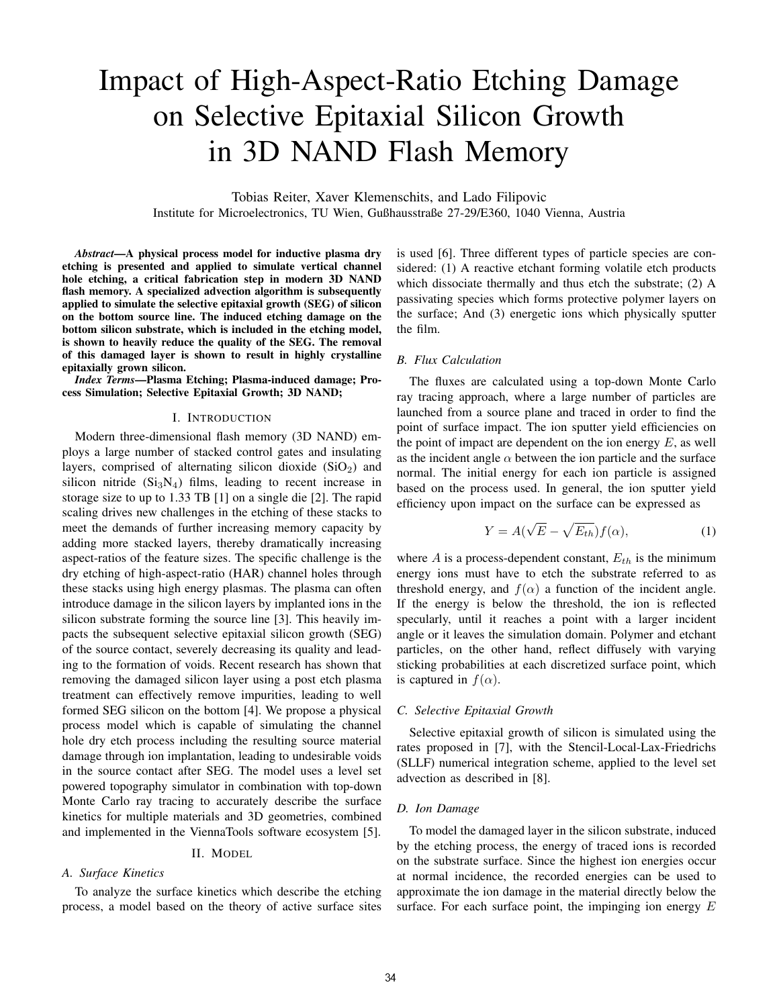# Impact of High-Aspect-Ratio Etching Damage on Selective Epitaxial Silicon Growth in 3D NAND Flash Memory

Tobias Reiter, Xaver Klemenschits, and Lado Filipovic Institute for Microelectronics, TU Wien, Gußhausstraße 27-29/E360, 1040 Vienna, Austria

*Abstract*—A physical process model for inductive plasma dry etching is presented and applied to simulate vertical channel hole etching, a critical fabrication step in modern 3D NAND flash memory. A specialized advection algorithm is subsequently applied to simulate the selective epitaxial growth (SEG) of silicon on the bottom source line. The induced etching damage on the bottom silicon substrate, which is included in the etching model, is shown to heavily reduce the quality of the SEG. The removal of this damaged layer is shown to result in highly crystalline epitaxially grown silicon.

*Index Terms*—Plasma Etching; Plasma-induced damage; Process Simulation; Selective Epitaxial Growth; 3D NAND;

## I. INTRODUCTION

Modern three-dimensional flash memory (3D NAND) employs a large number of stacked control gates and insulating layers, comprised of alternating silicon dioxide  $(SiO<sub>2</sub>)$  and silicon nitride  $(Si<sub>3</sub>N<sub>4</sub>)$  films, leading to recent increase in storage size to up to 1.33 TB [1] on a single die [2]. The rapid scaling drives new challenges in the etching of these stacks to meet the demands of further increasing memory capacity by adding more stacked layers, thereby dramatically increasing aspect-ratios of the feature sizes. The specific challenge is the dry etching of high-aspect-ratio (HAR) channel holes through these stacks using high energy plasmas. The plasma can often introduce damage in the silicon layers by implanted ions in the silicon substrate forming the source line [3]. This heavily impacts the subsequent selective epitaxial silicon growth (SEG) of the source contact, severely decreasing its quality and leading to the formation of voids. Recent research has shown that removing the damaged silicon layer using a post etch plasma treatment can effectively remove impurities, leading to well formed SEG silicon on the bottom [4]. We propose a physical process model which is capable of simulating the channel hole dry etch process including the resulting source material damage through ion implantation, leading to undesirable voids in the source contact after SEG. The model uses a level set powered topography simulator in combination with top-down Monte Carlo ray tracing to accurately describe the surface kinetics for multiple materials and 3D geometries, combined and implemented in the ViennaTools software ecosystem [5].

## II. MODEL

# *A. Surface Kinetics*

To analyze the surface kinetics which describe the etching process, a model based on the theory of active surface sites is used [6]. Three different types of particle species are considered: (1) A reactive etchant forming volatile etch products which dissociate thermally and thus etch the substrate; (2) A passivating species which forms protective polymer layers on the surface; And (3) energetic ions which physically sputter the film.

## *B. Flux Calculation*

The fluxes are calculated using a top-down Monte Carlo ray tracing approach, where a large number of particles are launched from a source plane and traced in order to find the point of surface impact. The ion sputter yield efficiencies on the point of impact are dependent on the ion energy  $E$ , as well as the incident angle  $\alpha$  between the ion particle and the surface normal. The initial energy for each ion particle is assigned based on the process used. In general, the ion sputter yield efficiency upon impact on the surface can be expressed as

$$
Y = A(\sqrt{E} - \sqrt{E_{th}})f(\alpha), \qquad (1)
$$

where  $A$  is a process-dependent constant,  $E_{th}$  is the minimum energy ions must have to etch the substrate referred to as threshold energy, and  $f(\alpha)$  a function of the incident angle. If the energy is below the threshold, the ion is reflected specularly, until it reaches a point with a larger incident angle or it leaves the simulation domain. Polymer and etchant particles, on the other hand, reflect diffusely with varying sticking probabilities at each discretized surface point, which is captured in  $f(\alpha)$ .

#### *C. Selective Epitaxial Growth*

Selective epitaxial growth of silicon is simulated using the rates proposed in [7], with the Stencil-Local-Lax-Friedrichs (SLLF) numerical integration scheme, applied to the level set advection as described in [8].

#### *D. Ion Damage*

To model the damaged layer in the silicon substrate, induced by the etching process, the energy of traced ions is recorded on the substrate surface. Since the highest ion energies occur at normal incidence, the recorded energies can be used to approximate the ion damage in the material directly below the surface. For each surface point, the impinging ion energy  $E$